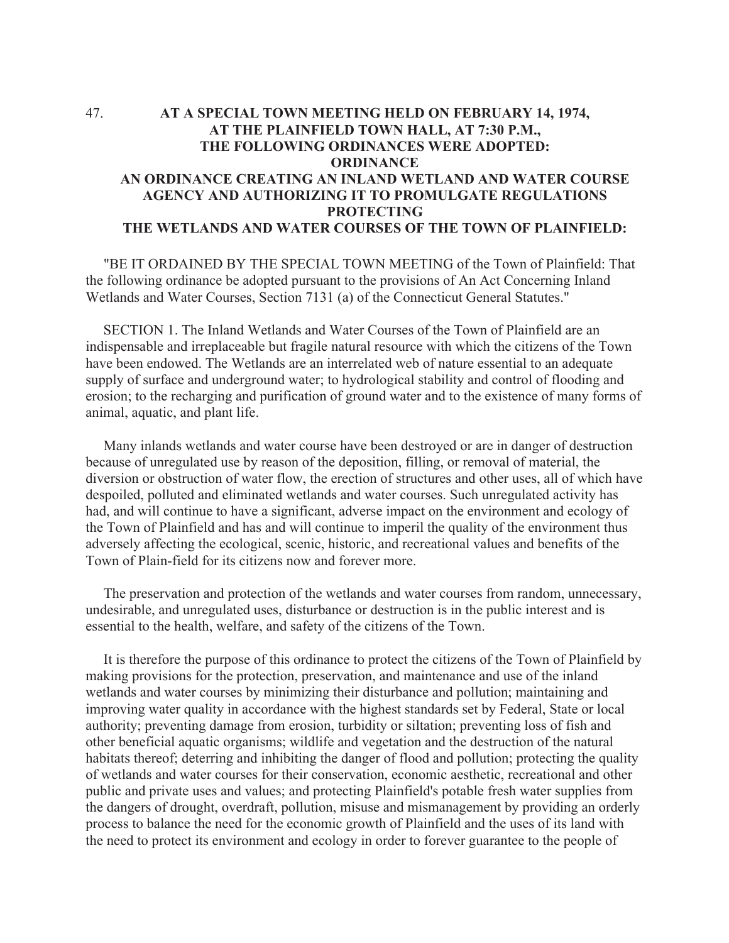## 47. **AT A SPECIAL TOWN MEETING HELD ON FEBRUARY 14, 1974, AT THE PLAINFIELD TOWN HALL, AT 7:30 P.M., THE FOLLOWING ORDINANCES WERE ADOPTED: ORDINANCE AN ORDINANCE CREATING AN INLAND WETLAND AND WATER COURSE AGENCY AND AUTHORIZING IT TO PROMULGATE REGULATIONS PROTECTING THE WETLANDS AND WATER COURSES OF THE TOWN OF PLAINFIELD:**

 "BE IT ORDAINED BY THE SPECIAL TOWN MEETING of the Town of Plainfield: That the following ordinance be adopted pursuant to the provisions of An Act Concerning Inland Wetlands and Water Courses, Section 7131 (a) of the Connecticut General Statutes."

 SECTION 1. The Inland Wetlands and Water Courses of the Town of Plainfield are an indispensable and irreplaceable but fragile natural resource with which the citizens of the Town have been endowed. The Wetlands are an interrelated web of nature essential to an adequate supply of surface and underground water; to hydrological stability and control of flooding and erosion; to the recharging and purification of ground water and to the existence of many forms of animal, aquatic, and plant life.

 Many inlands wetlands and water course have been destroyed or are in danger of destruction because of unregulated use by reason of the deposition, filling, or removal of material, the diversion or obstruction of water flow, the erection of structures and other uses, all of which have despoiled, polluted and eliminated wetlands and water courses. Such unregulated activity has had, and will continue to have a significant, adverse impact on the environment and ecology of the Town of Plainfield and has and will continue to imperil the quality of the environment thus adversely affecting the ecological, scenic, historic, and recreational values and benefits of the Town of Plain-field for its citizens now and forever more.

 The preservation and protection of the wetlands and water courses from random, unnecessary, undesirable, and unregulated uses, disturbance or destruction is in the public interest and is essential to the health, welfare, and safety of the citizens of the Town.

 It is therefore the purpose of this ordinance to protect the citizens of the Town of Plainfield by making provisions for the protection, preservation, and maintenance and use of the inland wetlands and water courses by minimizing their disturbance and pollution; maintaining and improving water quality in accordance with the highest standards set by Federal, State or local authority; preventing damage from erosion, turbidity or siltation; preventing loss of fish and other beneficial aquatic organisms; wildlife and vegetation and the destruction of the natural habitats thereof; deterring and inhibiting the danger of flood and pollution; protecting the quality of wetlands and water courses for their conservation, economic aesthetic, recreational and other public and private uses and values; and protecting Plainfield's potable fresh water supplies from the dangers of drought, overdraft, pollution, misuse and mismanagement by providing an orderly process to balance the need for the economic growth of Plainfield and the uses of its land with the need to protect its environment and ecology in order to forever guarantee to the people of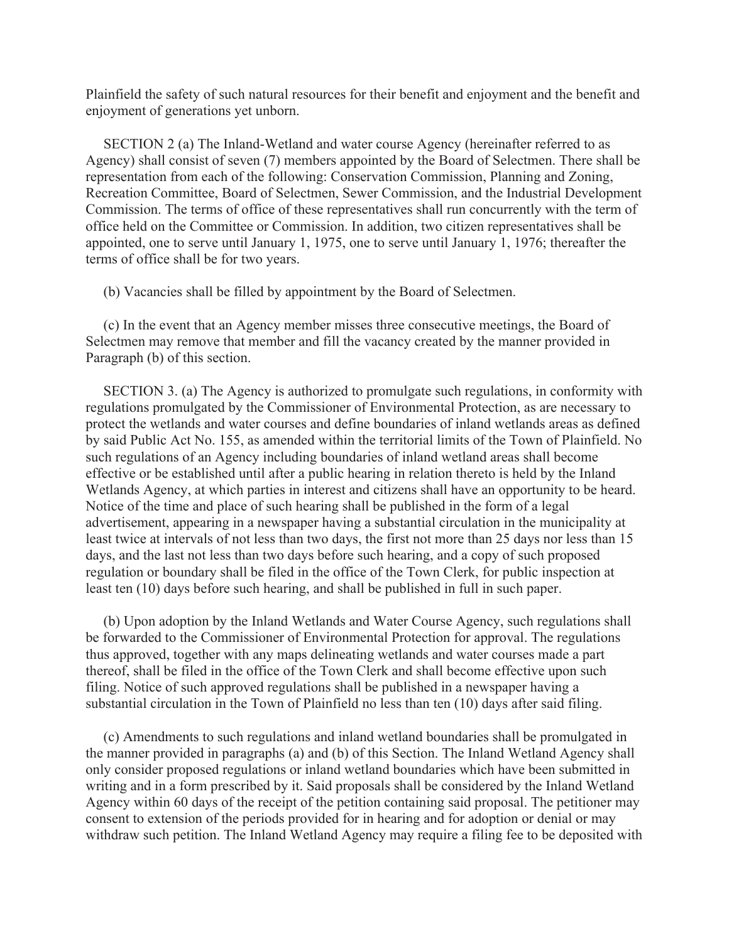Plainfield the safety of such natural resources for their benefit and enjoyment and the benefit and enjoyment of generations yet unborn.

 SECTION 2 (a) The Inland-Wetland and water course Agency (hereinafter referred to as Agency) shall consist of seven (7) members appointed by the Board of Selectmen. There shall be representation from each of the following: Conservation Commission, Planning and Zoning, Recreation Committee, Board of Selectmen, Sewer Commission, and the Industrial Development Commission. The terms of office of these representatives shall run concurrently with the term of office held on the Committee or Commission. In addition, two citizen representatives shall be appointed, one to serve until January 1, 1975, one to serve until January 1, 1976; thereafter the terms of office shall be for two years.

(b) Vacancies shall be filled by appointment by the Board of Selectmen.

 (c) In the event that an Agency member misses three consecutive meetings, the Board of Selectmen may remove that member and fill the vacancy created by the manner provided in Paragraph (b) of this section.

 SECTION 3. (a) The Agency is authorized to promulgate such regulations, in conformity with regulations promulgated by the Commissioner of Environmental Protection, as are necessary to protect the wetlands and water courses and define boundaries of inland wetlands areas as defined by said Public Act No. 155, as amended within the territorial limits of the Town of Plainfield. No such regulations of an Agency including boundaries of inland wetland areas shall become effective or be established until after a public hearing in relation thereto is held by the Inland Wetlands Agency, at which parties in interest and citizens shall have an opportunity to be heard. Notice of the time and place of such hearing shall be published in the form of a legal advertisement, appearing in a newspaper having a substantial circulation in the municipality at least twice at intervals of not less than two days, the first not more than 25 days nor less than 15 days, and the last not less than two days before such hearing, and a copy of such proposed regulation or boundary shall be filed in the office of the Town Clerk, for public inspection at least ten (10) days before such hearing, and shall be published in full in such paper.

 (b) Upon adoption by the Inland Wetlands and Water Course Agency, such regulations shall be forwarded to the Commissioner of Environmental Protection for approval. The regulations thus approved, together with any maps delineating wetlands and water courses made a part thereof, shall be filed in the office of the Town Clerk and shall become effective upon such filing. Notice of such approved regulations shall be published in a newspaper having a substantial circulation in the Town of Plainfield no less than ten (10) days after said filing.

 (c) Amendments to such regulations and inland wetland boundaries shall be promulgated in the manner provided in paragraphs (a) and (b) of this Section. The Inland Wetland Agency shall only consider proposed regulations or inland wetland boundaries which have been submitted in writing and in a form prescribed by it. Said proposals shall be considered by the Inland Wetland Agency within 60 days of the receipt of the petition containing said proposal. The petitioner may consent to extension of the periods provided for in hearing and for adoption or denial or may withdraw such petition. The Inland Wetland Agency may require a filing fee to be deposited with